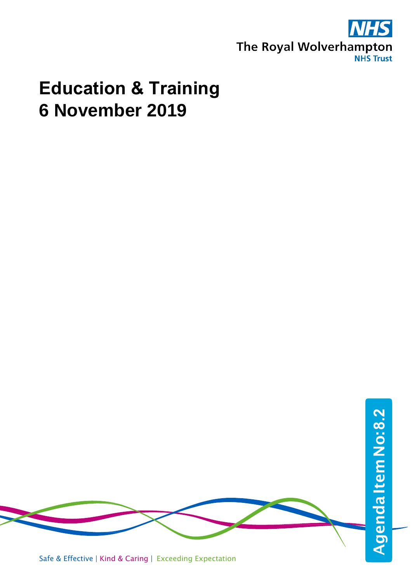

# **Education & Training 6 November 2019**

Agenda Item No: 8.2 Safe & Effective | Kind & Caring | Exceeding Expectation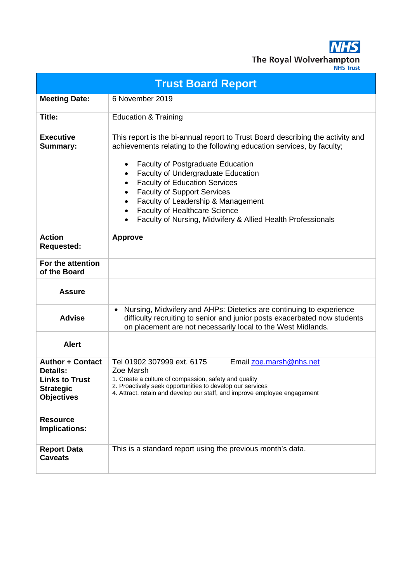**NHS** The Royal Wolverhampton

| <b>Trust Board Report</b>                                      |                                                                                                                                                                                                                                                                                                                                                                                                                                                                                   |  |  |  |  |  |  |
|----------------------------------------------------------------|-----------------------------------------------------------------------------------------------------------------------------------------------------------------------------------------------------------------------------------------------------------------------------------------------------------------------------------------------------------------------------------------------------------------------------------------------------------------------------------|--|--|--|--|--|--|
| <b>Meeting Date:</b>                                           | 6 November 2019                                                                                                                                                                                                                                                                                                                                                                                                                                                                   |  |  |  |  |  |  |
| Title:                                                         | <b>Education &amp; Training</b>                                                                                                                                                                                                                                                                                                                                                                                                                                                   |  |  |  |  |  |  |
| <b>Executive</b><br>Summary:                                   | This report is the bi-annual report to Trust Board describing the activity and<br>achievements relating to the following education services, by faculty;<br><b>Faculty of Postgraduate Education</b><br><b>Faculty of Undergraduate Education</b><br>٠<br><b>Faculty of Education Services</b><br><b>Faculty of Support Services</b><br>Faculty of Leadership & Management<br><b>Faculty of Healthcare Science</b><br>Faculty of Nursing, Midwifery & Allied Health Professionals |  |  |  |  |  |  |
| <b>Action</b><br><b>Requested:</b>                             | <b>Approve</b>                                                                                                                                                                                                                                                                                                                                                                                                                                                                    |  |  |  |  |  |  |
| For the attention<br>of the Board                              |                                                                                                                                                                                                                                                                                                                                                                                                                                                                                   |  |  |  |  |  |  |
| <b>Assure</b>                                                  |                                                                                                                                                                                                                                                                                                                                                                                                                                                                                   |  |  |  |  |  |  |
| <b>Advise</b>                                                  | Nursing, Midwifery and AHPs: Dietetics are continuing to experience<br>difficulty recruiting to senior and junior posts exacerbated now students<br>on placement are not necessarily local to the West Midlands.                                                                                                                                                                                                                                                                  |  |  |  |  |  |  |
| <b>Alert</b>                                                   |                                                                                                                                                                                                                                                                                                                                                                                                                                                                                   |  |  |  |  |  |  |
| <b>Author + Contact</b><br><b>Details:</b>                     | Tel 01902 307999 ext. 6175<br>Email zoe.marsh@nhs.net<br>Zoe Marsh                                                                                                                                                                                                                                                                                                                                                                                                                |  |  |  |  |  |  |
| <b>Links to Trust</b><br><b>Strategic</b><br><b>Objectives</b> | 1. Create a culture of compassion, safety and quality<br>2. Proactively seek opportunities to develop our services<br>4. Attract, retain and develop our staff, and improve employee engagement                                                                                                                                                                                                                                                                                   |  |  |  |  |  |  |
| <b>Resource</b><br>Implications:                               |                                                                                                                                                                                                                                                                                                                                                                                                                                                                                   |  |  |  |  |  |  |
| <b>Report Data</b><br><b>Caveats</b>                           | This is a standard report using the previous month's data.                                                                                                                                                                                                                                                                                                                                                                                                                        |  |  |  |  |  |  |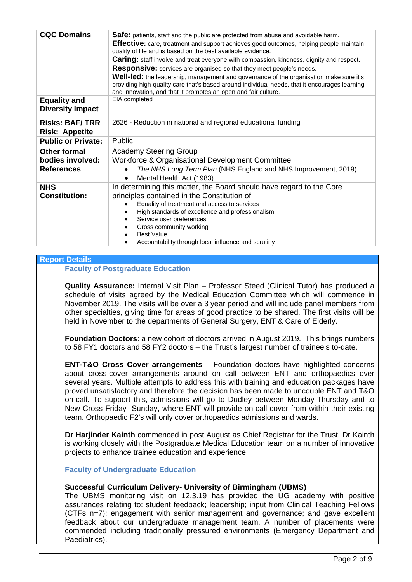| <b>CQC Domains</b>        | <b>Safe:</b> patients, staff and the public are protected from abuse and avoidable harm.                                                                                                                                                                         |  |  |  |
|---------------------------|------------------------------------------------------------------------------------------------------------------------------------------------------------------------------------------------------------------------------------------------------------------|--|--|--|
|                           | <b>Effective:</b> care, treatment and support achieves good outcomes, helping people maintain                                                                                                                                                                    |  |  |  |
|                           | quality of life and is based on the best available evidence.                                                                                                                                                                                                     |  |  |  |
|                           | <b>Caring:</b> staff involve and treat everyone with compassion, kindness, dignity and respect.                                                                                                                                                                  |  |  |  |
|                           | Responsive: services are organised so that they meet people's needs.                                                                                                                                                                                             |  |  |  |
|                           | <b>Well-led:</b> the leadership, management and governance of the organisation make sure it's<br>providing high-quality care that's based around individual needs, that it encourages learning<br>and innovation, and that it promotes an open and fair culture. |  |  |  |
| <b>Equality and</b>       | EIA completed                                                                                                                                                                                                                                                    |  |  |  |
| <b>Diversity Impact</b>   |                                                                                                                                                                                                                                                                  |  |  |  |
| <b>Risks: BAF/TRR</b>     | 2626 - Reduction in national and regional educational funding                                                                                                                                                                                                    |  |  |  |
| <b>Risk: Appetite</b>     |                                                                                                                                                                                                                                                                  |  |  |  |
| <b>Public or Private:</b> | Public                                                                                                                                                                                                                                                           |  |  |  |
| <b>Other formal</b>       | <b>Academy Steering Group</b>                                                                                                                                                                                                                                    |  |  |  |
| bodies involved:          | Workforce & Organisational Development Committee                                                                                                                                                                                                                 |  |  |  |
| <b>References</b>         | The NHS Long Term Plan (NHS England and NHS Improvement, 2019)                                                                                                                                                                                                   |  |  |  |
|                           | Mental Health Act (1983)                                                                                                                                                                                                                                         |  |  |  |
| <b>NHS</b>                | In determining this matter, the Board should have regard to the Core                                                                                                                                                                                             |  |  |  |
| <b>Constitution:</b>      | principles contained in the Constitution of:                                                                                                                                                                                                                     |  |  |  |
|                           | Equality of treatment and access to services                                                                                                                                                                                                                     |  |  |  |
|                           | High standards of excellence and professionalism                                                                                                                                                                                                                 |  |  |  |
|                           | Service user preferences                                                                                                                                                                                                                                         |  |  |  |
|                           | Cross community working                                                                                                                                                                                                                                          |  |  |  |
|                           | <b>Best Value</b>                                                                                                                                                                                                                                                |  |  |  |
|                           | Accountability through local influence and scrutiny                                                                                                                                                                                                              |  |  |  |

#### **Report Details**

## **Faculty of Postgraduate Education**

**Quality Assurance:** Internal Visit Plan – Professor Steed (Clinical Tutor) has produced a schedule of visits agreed by the Medical Education Committee which will commence in November 2019. The visits will be over a 3 year period and will include panel members from other specialties, giving time for areas of good practice to be shared. The first visits will be held in November to the departments of General Surgery, ENT & Care of Elderly.

**Foundation Doctors**: a new cohort of doctors arrived in August 2019. This brings numbers to 58 FY1 doctors and 58 FY2 doctors – the Trust's largest number of trainee's to-date.

**ENT-T&O Cross Cover arrangements** – Foundation doctors have highlighted concerns about cross-cover arrangements around on call between ENT and orthopaedics over several years. Multiple attempts to address this with training and education packages have proved unsatisfactory and therefore the decision has been made to uncouple ENT and T&O on-call. To support this, admissions will go to Dudley between Monday-Thursday and to New Cross Friday- Sunday, where ENT will provide on-call cover from within their existing team. Orthopaedic F2's will only cover orthopaedics admissions and wards.

**Dr Harjinder Kainth** commenced in post August as Chief Registrar for the Trust. Dr Kainth is working closely with the Postgraduate Medical Education team on a number of innovative projects to enhance trainee education and experience.

**Faculty of Undergraduate Education** 

#### **Successful Curriculum Delivery- University of Birmingham (UBMS)**

The UBMS monitoring visit on 12.3.19 has provided the UG academy with positive assurances relating to: student feedback; leadership; input from Clinical Teaching Fellows (CTFs n=7); engagement with senior management and governance; and gave excellent feedback about our undergraduate management team. A number of placements were commended including traditionally pressured environments (Emergency Department and Paediatrics).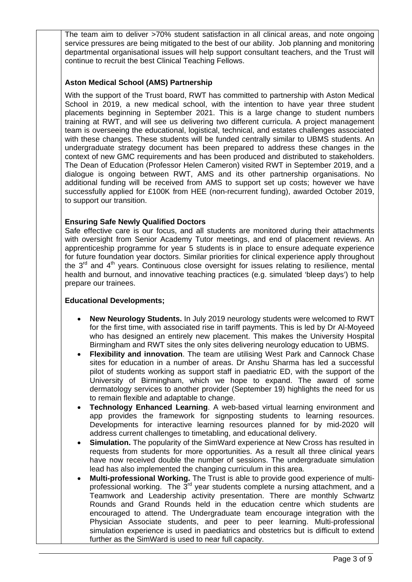The team aim to deliver >70% student satisfaction in all clinical areas, and note ongoing service pressures are being mitigated to the best of our ability. Job planning and monitoring departmental organisational issues will help support consultant teachers, and the Trust will continue to recruit the best Clinical Teaching Fellows.

## **Aston Medical School (AMS) Partnership**

With the support of the Trust board, RWT has committed to partnership with Aston Medical School in 2019, a new medical school, with the intention to have year three student placements beginning in September 2021. This is a large change to student numbers training at RWT, and will see us delivering two different curricula. A project management team is overseeing the educational, logistical, technical, and estates challenges associated with these changes. These students will be funded centrally similar to UBMS students. An undergraduate strategy document has been prepared to address these changes in the context of new GMC requirements and has been produced and distributed to stakeholders. The Dean of Education (Professor Helen Cameron) visited RWT in September 2019, and a dialogue is ongoing between RWT, AMS and its other partnership organisations. No additional funding will be received from AMS to support set up costs; however we have successfully applied for £100K from HEE (non-recurrent funding), awarded October 2019, to support our transition.

#### **Ensuring Safe Newly Qualified Doctors**

Safe effective care is our focus, and all students are monitored during their attachments with oversight from Senior Academy Tutor meetings, and end of placement reviews. An apprenticeship programme for year 5 students is in place to ensure adequate experience for future foundation year doctors. Similar priorities for clinical experience apply throughout the  $3<sup>rd</sup>$  and  $4<sup>th</sup>$  years. Continuous close oversight for issues relating to resilience, mental health and burnout, and innovative teaching practices (e.g. simulated 'bleep days') to help prepare our trainees.

#### **Educational Developments;**

- **New Neurology Students.** In July 2019 neurology students were welcomed to RWT for the first time, with associated rise in tariff payments. This is led by Dr Al-Moyeed who has designed an entirely new placement. This makes the University Hospital Birmingham and RWT sites the only sites delivering neurology education to UBMS.
- **Flexibility and innovation**. The team are utilising West Park and Cannock Chase sites for education in a number of areas. Dr Anshu Sharma has led a successful pilot of students working as support staff in paediatric ED, with the support of the University of Birmingham, which we hope to expand. The award of some dermatology services to another provider (September 19) highlights the need for us to remain flexible and adaptable to change.
- **Technology Enhanced Learning**. A web-based virtual learning environment and app provides the framework for signposting students to learning resources. Developments for interactive learning resources planned for by mid-2020 will address current challenges to timetabling, and educational delivery.
- **Simulation.** The popularity of the SimWard experience at New Cross has resulted in requests from students for more opportunities. As a result all three clinical years have now received double the number of sessions. The undergraduate simulation lead has also implemented the changing curriculum in this area.
- **Multi-professional Working.** The Trust is able to provide good experience of multiprofessional working. The  $3<sup>rd</sup>$  year students complete a nursing attachment, and a Teamwork and Leadership activity presentation. There are monthly Schwartz Rounds and Grand Rounds held in the education centre which students are encouraged to attend. The Undergraduate team encourage integration with the Physician Associate students, and peer to peer learning. Multi-professional simulation experience is used in paediatrics and obstetrics but is difficult to extend further as the SimWard is used to near full capacity.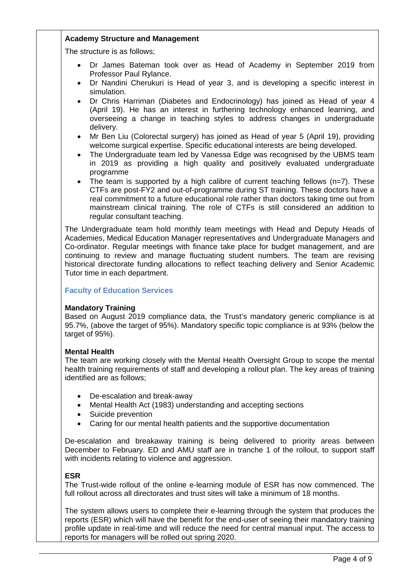## **Academy Structure and Management**

The structure is as follows;

- Dr James Bateman took over as Head of Academy in September 2019 from Professor Paul Rylance.
- Dr Nandini Cherukuri is Head of year 3, and is developing a specific interest in simulation.
- Dr Chris Harriman (Diabetes and Endocrinology) has joined as Head of year 4 (April 19). He has an interest in furthering technology enhanced learning, and overseeing a change in teaching styles to address changes in undergraduate delivery.
- Mr Ben Liu (Colorectal surgery) has joined as Head of year 5 (April 19), providing welcome surgical expertise. Specific educational interests are being developed.
- The Undergraduate team led by Vanessa Edge was recognised by the UBMS team in 2019 as providing a high quality and positively evaluated undergraduate programme
- The team is supported by a high calibre of current teaching fellows  $(n=7)$ . These CTFs are post-FY2 and out-of-programme during ST training. These doctors have a real commitment to a future educational role rather than doctors taking time out from mainstream clinical training. The role of CTFs is still considered an addition to regular consultant teaching.

The Undergraduate team hold monthly team meetings with Head and Deputy Heads of Academies, Medical Education Manager representatives and Undergraduate Managers and Co-ordinator. Regular meetings with finance take place for budget management, and are continuing to review and manage fluctuating student numbers. The team are revising historical directorate funding allocations to reflect teaching delivery and Senior Academic Tutor time in each department.

## **Faculty of Education Services**

## **Mandatory Training**

Based on August 2019 compliance data, the Trust's mandatory generic compliance is at 95.7%, (above the target of 95%). Mandatory specific topic compliance is at 93% (below the target of 95%).

#### **Mental Health**

The team are working closely with the Mental Health Oversight Group to scope the mental health training requirements of staff and developing a rollout plan. The key areas of training identified are as follows;

- De-escalation and break-away
- Mental Health Act (1983) understanding and accepting sections
- Suicide prevention
- Caring for our mental health patients and the supportive documentation

De-escalation and breakaway training is being delivered to priority areas between December to February. ED and AMU staff are in tranche 1 of the rollout, to support staff with incidents relating to violence and aggression.

#### **ESR**

The Trust-wide rollout of the online e-learning module of ESR has now commenced. The full rollout across all directorates and trust sites will take a minimum of 18 months.

The system allows users to complete their e-learning through the system that produces the reports (ESR) which will have the benefit for the end-user of seeing their mandatory training profile update in real-time and will reduce the need for central manual input. The access to reports for managers will be rolled out spring 2020.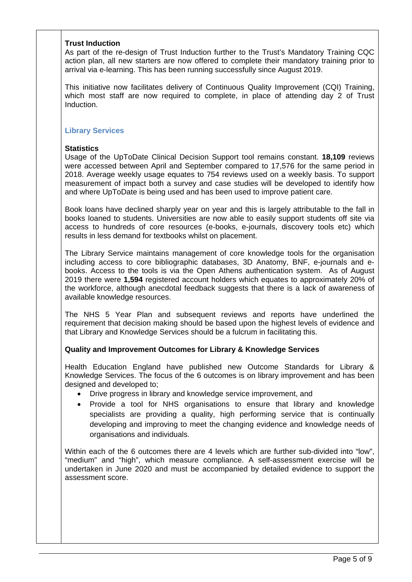#### **Trust Induction**

As part of the re-design of Trust Induction further to the Trust's Mandatory Training CQC action plan, all new starters are now offered to complete their mandatory training prior to arrival via e-learning. This has been running successfully since August 2019.

This initiative now facilitates delivery of Continuous Quality Improvement (CQI) Training, which most staff are now required to complete, in place of attending day 2 of Trust Induction.

#### **Library Services**

#### **Statistics**

Usage of the UpToDate Clinical Decision Support tool remains constant. **18,109** reviews were accessed between April and September compared to 17,576 for the same period in 2018. Average weekly usage equates to 754 reviews used on a weekly basis. To support measurement of impact both a survey and case studies will be developed to identify how and where UpToDate is being used and has been used to improve patient care.

Book loans have declined sharply year on year and this is largely attributable to the fall in books loaned to students. Universities are now able to easily support students off site via access to hundreds of core resources (e-books, e-journals, discovery tools etc) which results in less demand for textbooks whilst on placement.

The Library Service maintains management of core knowledge tools for the organisation including access to core bibliographic databases, 3D Anatomy, BNF, e-journals and ebooks. Access to the tools is via the Open Athens authentication system. As of August 2019 there were **1,594** registered account holders which equates to approximately 20% of the workforce, although anecdotal feedback suggests that there is a lack of awareness of available knowledge resources.

The NHS 5 Year Plan and subsequent reviews and reports have underlined the requirement that decision making should be based upon the highest levels of evidence and that Library and Knowledge Services should be a fulcrum in facilitating this.

#### **Quality and Improvement Outcomes for Library & Knowledge Services**

Health Education England have published new Outcome Standards for Library & Knowledge Services. The focus of the 6 outcomes is on library improvement and has been designed and developed to;

- Drive progress in library and knowledge service improvement, and
- Provide a tool for NHS organisations to ensure that library and knowledge specialists are providing a quality, high performing service that is continually developing and improving to meet the changing evidence and knowledge needs of organisations and individuals.

Within each of the 6 outcomes there are 4 levels which are further sub-divided into "low", "medium" and "high", which measure compliance. A self-assessment exercise will be undertaken in June 2020 and must be accompanied by detailed evidence to support the assessment score.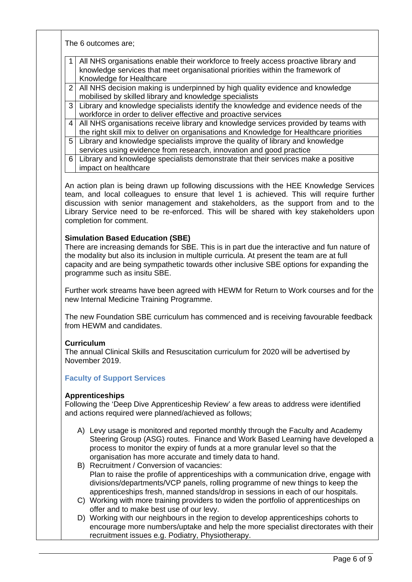The 6 outcomes are;

| 1 All NHS organisations enable their workforce to freely access proactive library and |
|---------------------------------------------------------------------------------------|
| I knowledge services that meet organisational priorities within the framework of      |
| Knowledge for Healthcare                                                              |

- 2 All NHS decision making is underpinned by high quality evidence and knowledge mobilised by skilled library and knowledge specialists
- 3 Library and knowledge specialists identify the knowledge and evidence needs of the workforce in order to deliver effective and proactive services
- 4 All NHS organisations receive library and knowledge services provided by teams with the right skill mix to deliver on organisations and Knowledge for Healthcare priorities
- 5 Library and knowledge specialists improve the quality of library and knowledge services using evidence from research, innovation and good practice
- 6 Library and knowledge specialists demonstrate that their services make a positive impact on healthcare

An action plan is being drawn up following discussions with the HEE Knowledge Services team, and local colleagues to ensure that level 1 is achieved. This will require further discussion with senior management and stakeholders, as the support from and to the Library Service need to be re-enforced. This will be shared with key stakeholders upon completion for comment.

## **Simulation Based Education (SBE)**

There are increasing demands for SBE. This is in part due the interactive and fun nature of the modality but also its inclusion in multiple curricula. At present the team are at full capacity and are being sympathetic towards other inclusive SBE options for expanding the programme such as insitu SBE.

Further work streams have been agreed with HEWM for Return to Work courses and for the new Internal Medicine Training Programme.

The new Foundation SBE curriculum has commenced and is receiving favourable feedback from HEWM and candidates.

#### **Curriculum**

The annual Clinical Skills and Resuscitation curriculum for 2020 will be advertised by November 2019.

## **Faculty of Support Services**

#### **Apprenticeships**

Following the 'Deep Dive Apprenticeship Review' a few areas to address were identified and actions required were planned/achieved as follows;

- A) Levy usage is monitored and reported monthly through the Faculty and Academy Steering Group (ASG) routes. Finance and Work Based Learning have developed a process to monitor the expiry of funds at a more granular level so that the organisation has more accurate and timely data to hand.
- B) Recruitment / Conversion of vacancies: Plan to raise the profile of apprenticeships with a communication drive, engage with divisions/departments/VCP panels, rolling programme of new things to keep the apprenticeships fresh, manned stands/drop in sessions in each of our hospitals.
- C) Working with more training providers to widen the portfolio of apprenticeships on offer and to make best use of our levy.
- D) Working with our neighbours in the region to develop apprenticeships cohorts to encourage more numbers/uptake and help the more specialist directorates with their recruitment issues e.g. Podiatry, Physiotherapy.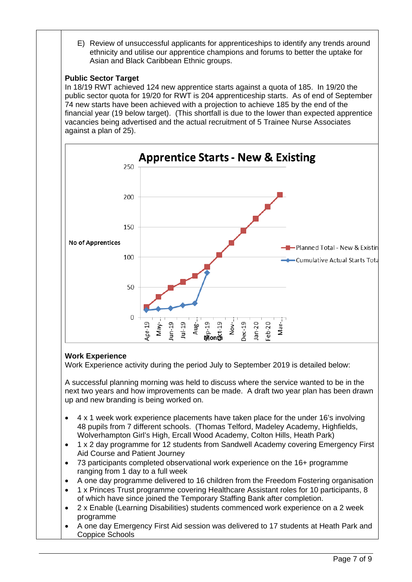E) Review of unsuccessful applicants for apprenticeships to identify any trends around ethnicity and utilise our apprentice champions and forums to better the uptake for Asian and Black Caribbean Ethnic groups.

# **Public Sector Target**

In 18/19 RWT achieved 124 new apprentice starts against a quota of 185. In 19/20 the public sector quota for 19/20 for RWT is 204 apprenticeship starts. As of end of September 74 new starts have been achieved with a projection to achieve 185 by the end of the financial year (19 below target). (This shortfall is due to the lower than expected apprentice vacancies being advertised and the actual recruitment of 5 Trainee Nurse Associates against a plan of 25).



# **Work Experience**

Work Experience activity during the period July to September 2019 is detailed below:

A successful planning morning was held to discuss where the service wanted to be in the next two years and how improvements can be made. A draft two year plan has been drawn up and new branding is being worked on.

- 4 x 1 week work experience placements have taken place for the under 16's involving 48 pupils from 7 different schools. (Thomas Telford, Madeley Academy, Highfields, Wolverhampton Girl's High, Ercall Wood Academy, Colton Hills, Heath Park)
- 1 x 2 day programme for 12 students from Sandwell Academy covering Emergency First Aid Course and Patient Journey
- 73 participants completed observational work experience on the 16+ programme ranging from 1 day to a full week
- A one day programme delivered to 16 children from the Freedom Fostering organisation
- 1 x Princes Trust programme covering Healthcare Assistant roles for 10 participants, 8 of which have since joined the Temporary Staffing Bank after completion.
- 2 x Enable (Learning Disabilities) students commenced work experience on a 2 week programme
- A one day Emergency First Aid session was delivered to 17 students at Heath Park and Coppice Schools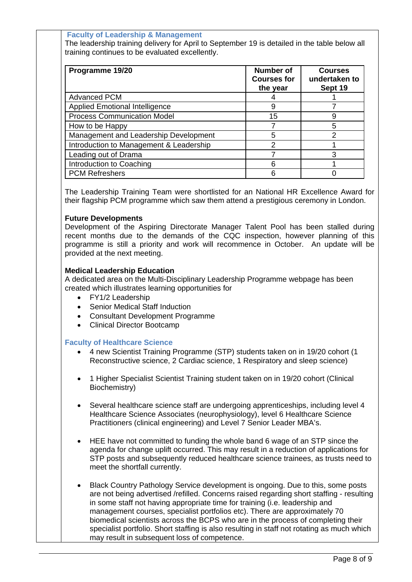**Faculty of Leadership & Management** 

The leadership training delivery for April to September 19 is detailed in the table below all training continues to be evaluated excellently.

| Programme 19/20                         | <b>Number of</b><br><b>Courses for</b><br>the year | <b>Courses</b><br>undertaken to<br>Sept 19 |
|-----------------------------------------|----------------------------------------------------|--------------------------------------------|
| <b>Advanced PCM</b>                     |                                                    |                                            |
| <b>Applied Emotional Intelligence</b>   | 9                                                  |                                            |
| <b>Process Communication Model</b>      | 15                                                 | 9                                          |
| How to be Happy                         |                                                    | 5                                          |
| Management and Leadership Development   | 5                                                  | $\mathcal{P}$                              |
| Introduction to Management & Leadership | $\mathcal{P}$                                      |                                            |
| Leading out of Drama                    |                                                    |                                            |
| Introduction to Coaching                | 6                                                  |                                            |
| <b>PCM Refreshers</b>                   | 6                                                  |                                            |

The Leadership Training Team were shortlisted for an National HR Excellence Award for their flagship PCM programme which saw them attend a prestigious ceremony in London.

#### **Future Developments**

Development of the Aspiring Directorate Manager Talent Pool has been stalled during recent months due to the demands of the CQC inspection, however planning of this programme is still a priority and work will recommence in October. An update will be provided at the next meeting.

#### **Medical Leadership Education**

A dedicated area on the Multi-Disciplinary Leadership Programme webpage has been created which illustrates learning opportunities for

- FY1/2 Leadership
- Senior Medical Staff Induction
- Consultant Development Programme
- Clinical Director Bootcamp

#### **Faculty of Healthcare Science**

- 4 new Scientist Training Programme (STP) students taken on in 19/20 cohort (1 Reconstructive science, 2 Cardiac science, 1 Respiratory and sleep science)
- 1 Higher Specialist Scientist Training student taken on in 19/20 cohort (Clinical Biochemistry)
- Several healthcare science staff are undergoing apprenticeships, including level 4 Healthcare Science Associates (neurophysiology), level 6 Healthcare Science Practitioners (clinical engineering) and Level 7 Senior Leader MBA's.
- HEE have not committed to funding the whole band 6 wage of an STP since the agenda for change uplift occurred. This may result in a reduction of applications for STP posts and subsequently reduced healthcare science trainees, as trusts need to meet the shortfall currently.
- Black Country Pathology Service development is ongoing. Due to this, some posts are not being advertised /refilled. Concerns raised regarding short staffing - resulting in some staff not having appropriate time for training (i.e. leadership and management courses, specialist portfolios etc). There are approximately 70 biomedical scientists across the BCPS who are in the process of completing their specialist portfolio. Short staffing is also resulting in staff not rotating as much which may result in subsequent loss of competence.